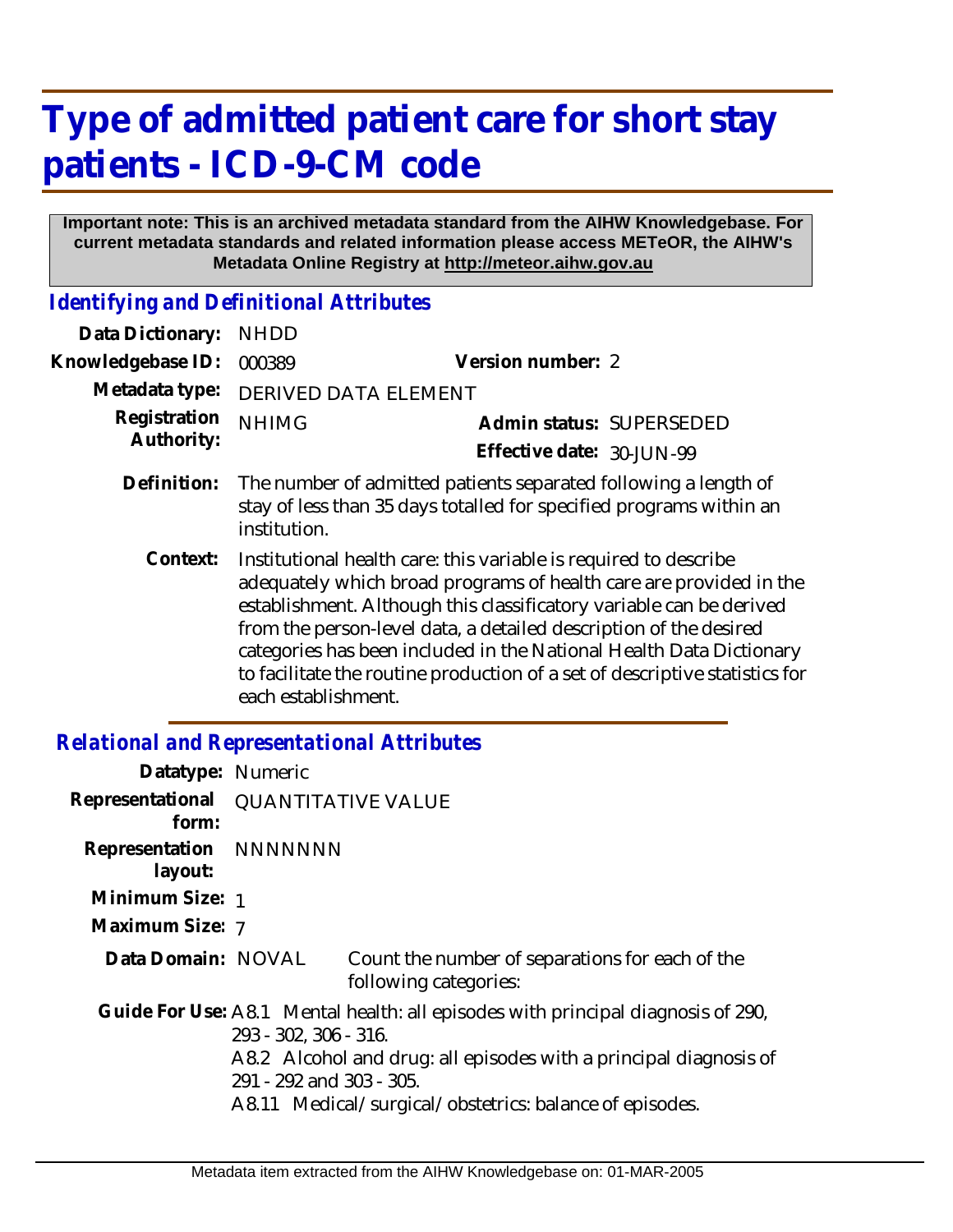## **Type of admitted patient care for short stay patients - ICD-9-CM code**

## **Important note: This is an archived metadata standard from the AIHW Knowledgebase. For current metadata standards and related information please access METeOR, the AIHW's Metadata Online Registry at http://meteor.aihw.gov.au**

*Identifying and Definitional Attributes*

| Data Dictionary:           | <b>NHDD</b>                                                                                                                                            |                                                                                                                                                                                                                                                                                                                                                                                                                                          |
|----------------------------|--------------------------------------------------------------------------------------------------------------------------------------------------------|------------------------------------------------------------------------------------------------------------------------------------------------------------------------------------------------------------------------------------------------------------------------------------------------------------------------------------------------------------------------------------------------------------------------------------------|
| Knowledgebase ID:          | 000389                                                                                                                                                 | Version number: 2                                                                                                                                                                                                                                                                                                                                                                                                                        |
| Metadata type:             | <b>DERIVED DATA ELEMENT</b>                                                                                                                            |                                                                                                                                                                                                                                                                                                                                                                                                                                          |
| Registration<br>Authority: | <b>NHIMG</b>                                                                                                                                           | Admin status: SUPERSEDED                                                                                                                                                                                                                                                                                                                                                                                                                 |
|                            |                                                                                                                                                        | Effective date: 30-JUN-99                                                                                                                                                                                                                                                                                                                                                                                                                |
| Definition:                | The number of admitted patients separated following a length of<br>stay of less than 35 days totalled for specified programs within an<br>institution. |                                                                                                                                                                                                                                                                                                                                                                                                                                          |
| Context:                   | each establishment.                                                                                                                                    | Institutional health care: this variable is required to describe<br>adequately which broad programs of health care are provided in the<br>establishment. Although this classificatory variable can be derived<br>from the person-level data, a detailed description of the desired<br>categories has been included in the National Health Data Dictionary<br>to facilitate the routine production of a set of descriptive statistics for |

## *Relational and Representational Attributes*

| Datatype: Numeric                            |                                                   |                                                                                                                                                                                                                  |
|----------------------------------------------|---------------------------------------------------|------------------------------------------------------------------------------------------------------------------------------------------------------------------------------------------------------------------|
| Representational QUANTITATIVE VALUE<br>form: |                                                   |                                                                                                                                                                                                                  |
| Representation NNNNNNN<br>layout:            |                                                   |                                                                                                                                                                                                                  |
| Minimum Size: 1                              |                                                   |                                                                                                                                                                                                                  |
| Maximum Size: 7                              |                                                   |                                                                                                                                                                                                                  |
| Data Domain: NOVAL                           |                                                   | Count the number of separations for each of the<br>following categories:                                                                                                                                         |
|                                              | 293 - 302, 306 - 316.<br>291 - 292 and 303 - 305. | Guide For Use: A8.1 Mental health: all episodes with principal diagnosis of 290,<br>A8.2 Alcohol and drug: all episodes with a principal diagnosis of<br>A8.11 Medical/surgical/obstetrics: balance of episodes. |